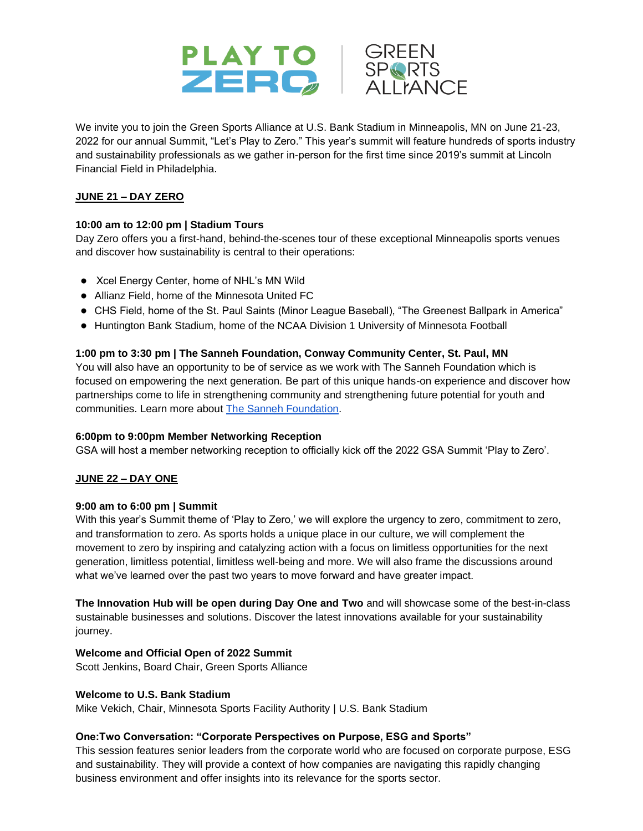



We invite you to join the Green Sports Alliance at U.S. Bank Stadium in Minneapolis, MN on June 21-23, 2022 for our annual Summit, "Let's Play to Zero." This year's summit will feature hundreds of sports industry and sustainability professionals as we gather in-person for the first time since 2019's summit at Lincoln Financial Field in Philadelphia.

## **JUNE 21 – DAY ZERO**

# **10:00 am to 12:00 pm | Stadium Tours**

Day Zero offers you a first-hand, behind-the-scenes tour of these exceptional Minneapolis sports venues and discover how sustainability is central to their operations:

- Xcel Energy Center, home of NHL's MN Wild
- Allianz Field, home of the Minnesota United FC
- CHS Field, home of the St. Paul Saints (Minor League Baseball), "The Greenest Ballpark in America"
- Huntington Bank Stadium, home of the NCAA Division 1 University of Minnesota Football

## **1:00 pm to 3:30 pm | The Sanneh Foundation, Conway Community Center, St. Paul, MN**

You will also have an opportunity to be of service as we work with The Sanneh Foundation which is focused on empowering the next generation. Be part of this unique hands-on experience and discover how partnerships come to life in strengthening community and strengthening future potential for youth and communities. Learn more about [The Sanneh Foundation.](https://www.youtube.com/watch?v=9qxMGv6W6Bg)

## **6:00pm to 9:00pm Member Networking Reception**

GSA will host a member networking reception to officially kick off the 2022 GSA Summit 'Play to Zero'.

## **JUNE 22 – DAY ONE**

## **9:00 am to 6:00 pm | Summit**

With this year's Summit theme of 'Play to Zero,' we will explore the urgency to zero, commitment to zero, and transformation to zero. As sports holds a unique place in our culture, we will complement the movement to zero by inspiring and catalyzing action with a focus on limitless opportunities for the next generation, limitless potential, limitless well-being and more. We will also frame the discussions around what we've learned over the past two years to move forward and have greater impact.

**The Innovation Hub will be open during Day One and Two** and will showcase some of the best-in-class sustainable businesses and solutions. Discover the latest innovations available for your sustainability journey.

## **Welcome and Official Open of 2022 Summit**

Scott Jenkins, Board Chair, Green Sports Alliance

## **Welcome to U.S. Bank Stadium**

Mike Vekich, Chair, Minnesota Sports Facility Authority | U.S. Bank Stadium

## **One:Two Conversation: "Corporate Perspectives on Purpose, ESG and Sports"**

This session features senior leaders from the corporate world who are focused on corporate purpose, ESG and sustainability. They will provide a context of how companies are navigating this rapidly changing business environment and offer insights into its relevance for the sports sector.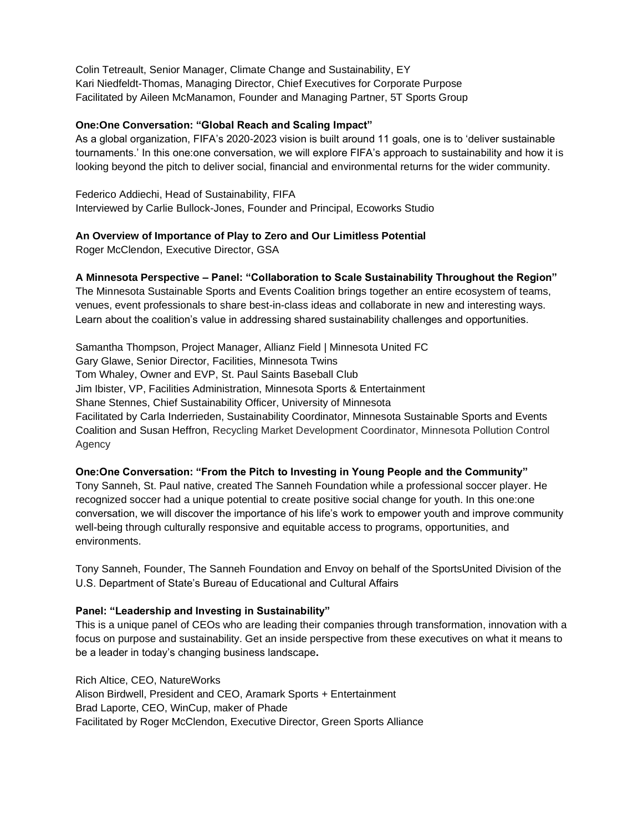Colin Tetreault, Senior Manager, Climate Change and Sustainability, EY Kari Niedfeldt-Thomas, Managing Director, Chief Executives for Corporate Purpose Facilitated by Aileen McManamon, Founder and Managing Partner, 5T Sports Group

### **One:One Conversation: "Global Reach and Scaling Impact"**

As a global organization, FIFA's 2020-2023 vision is built around 11 goals, one is to 'deliver sustainable tournaments.' In this one:one conversation, we will explore FIFA's approach to sustainability and how it is looking beyond the pitch to deliver social, financial and environmental returns for the wider community.

Federico Addiechi, Head of Sustainability, FIFA Interviewed by Carlie Bullock-Jones, Founder and Principal, Ecoworks Studio

## **An Overview of Importance of Play to Zero and Our Limitless Potential**

Roger McClendon, Executive Director, GSA

## **A Minnesota Perspective – Panel: "Collaboration to Scale Sustainability Throughout the Region"**

The Minnesota Sustainable Sports and Events Coalition brings together an entire ecosystem of teams, venues, event professionals to share best-in-class ideas and collaborate in new and interesting ways. Learn about the coalition's value in addressing shared sustainability challenges and opportunities.

Samantha Thompson, Project Manager, Allianz Field | Minnesota United FC

Gary Glawe, Senior Director, Facilities, Minnesota Twins

Tom Whaley, Owner and EVP, St. Paul Saints Baseball Club

Jim Ibister, VP, Facilities Administration, Minnesota Sports & Entertainment

Shane Stennes, Chief Sustainability Officer, University of Minnesota

Facilitated by Carla Inderrieden, Sustainability Coordinator, Minnesota Sustainable Sports and Events Coalition and Susan Heffron, Recycling Market Development Coordinator, Minnesota Pollution Control Agency

## **One:One Conversation: "From the Pitch to Investing in Young People and the Community"**

Tony Sanneh, St. Paul native, created The Sanneh Foundation while a professional soccer player. He recognized soccer had a unique potential to create positive social change for youth. In this one:one conversation, we will discover the importance of his life's work to empower youth and improve community well-being through culturally responsive and equitable access to programs, opportunities, and environments.

Tony Sanneh, Founder, The Sanneh Foundation and Envoy on behalf of the SportsUnited Division of the U.S. Department of State's Bureau of Educational and Cultural Affairs

## **Panel: "Leadership and Investing in Sustainability"**

This is a unique panel of CEOs who are leading their companies through transformation, innovation with a focus on purpose and sustainability. Get an inside perspective from these executives on what it means to be a leader in today's changing business landscape**.**

Rich Altice, CEO, NatureWorks

Alison Birdwell, President and CEO, Aramark Sports + Entertainment Brad Laporte, CEO, WinCup, maker of Phade Facilitated by Roger McClendon, Executive Director, Green Sports Alliance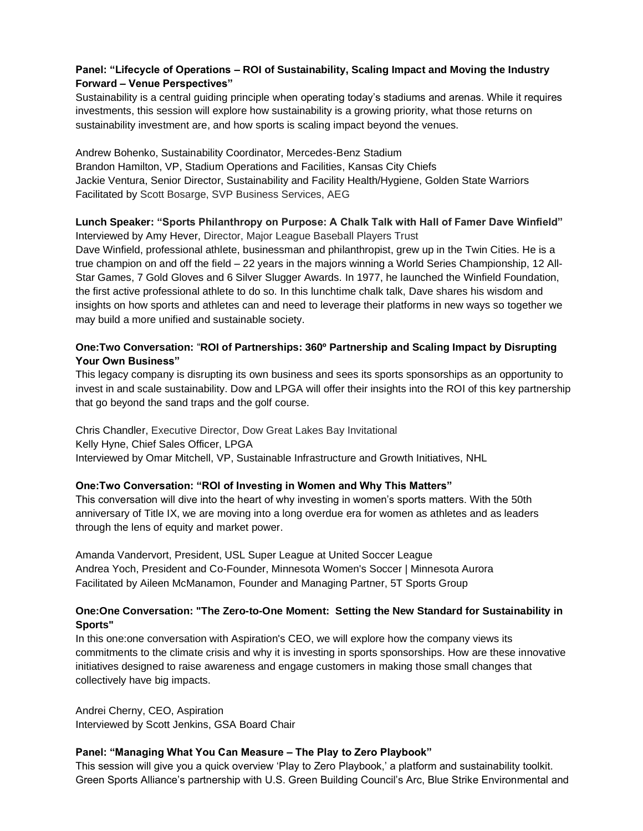# **Panel: "Lifecycle of Operations – ROI of Sustainability, Scaling Impact and Moving the Industry Forward – Venue Perspectives"**

Sustainability is a central guiding principle when operating today's stadiums and arenas. While it requires investments, this session will explore how sustainability is a growing priority, what those returns on sustainability investment are, and how sports is scaling impact beyond the venues.

Andrew Bohenko, Sustainability Coordinator, Mercedes-Benz Stadium Brandon Hamilton, VP, Stadium Operations and Facilities, Kansas City Chiefs Jackie Ventura, Senior Director, Sustainability and Facility Health/Hygiene, Golden State Warriors Facilitated by Scott Bosarge, SVP Business Services, AEG

## **Lunch Speaker: "Sports Philanthropy on Purpose: A Chalk Talk with Hall of Famer Dave Winfield"** Interviewed by Amy Hever, Director, Major League Baseball Players Trust

Dave Winfield, professional athlete, businessman and philanthropist, grew up in the Twin Cities. He is a true champion on and off the field – 22 years in the majors winning a World Series Championship, 12 All-Star Games, 7 Gold Gloves and 6 Silver Slugger Awards. In 1977, he launched the Winfield Foundation, the first active professional athlete to do so. In this lunchtime chalk talk, Dave shares his wisdom and insights on how sports and athletes can and need to leverage their platforms in new ways so together we may build a more unified and sustainable society.

# **One:Two Conversation:** "**ROI of Partnerships: 360º Partnership and Scaling Impact by Disrupting Your Own Business"**

This legacy company is disrupting its own business and sees its sports sponsorships as an opportunity to invest in and scale sustainability. Dow and LPGA will offer their insights into the ROI of this key partnership that go beyond the sand traps and the golf course.

Chris Chandler, Executive Director, Dow Great Lakes Bay Invitational Kelly Hyne, Chief Sales Officer, LPGA Interviewed by Omar Mitchell, VP, Sustainable Infrastructure and Growth Initiatives, NHL

## **One:Two Conversation: "ROI of Investing in Women and Why This Matters"**

This conversation will dive into the heart of why investing in women's sports matters. With the 50th anniversary of Title IX, we are moving into a long overdue era for women as athletes and as leaders through the lens of equity and market power.

Amanda Vandervort, President, USL Super League at United Soccer League Andrea Yoch, President and Co-Founder, Minnesota Women's Soccer | Minnesota Aurora Facilitated by Aileen McManamon, Founder and Managing Partner, 5T Sports Group

# **One:One Conversation: "The Zero-to-One Moment: Setting the New Standard for Sustainability in Sports"**

In this one:one conversation with Aspiration's CEO, we will explore how the company views its commitments to the climate crisis and why it is investing in sports sponsorships. How are these innovative initiatives designed to raise awareness and engage customers in making those small changes that collectively have big impacts.

Andrei Cherny, CEO, Aspiration Interviewed by Scott Jenkins, GSA Board Chair

## **Panel: "Managing What You Can Measure – The Play to Zero Playbook"**

This session will give you a quick overview 'Play to Zero Playbook,' a platform and sustainability toolkit. Green Sports Alliance's partnership with U.S. Green Building Council's Arc, Blue Strike Environmental and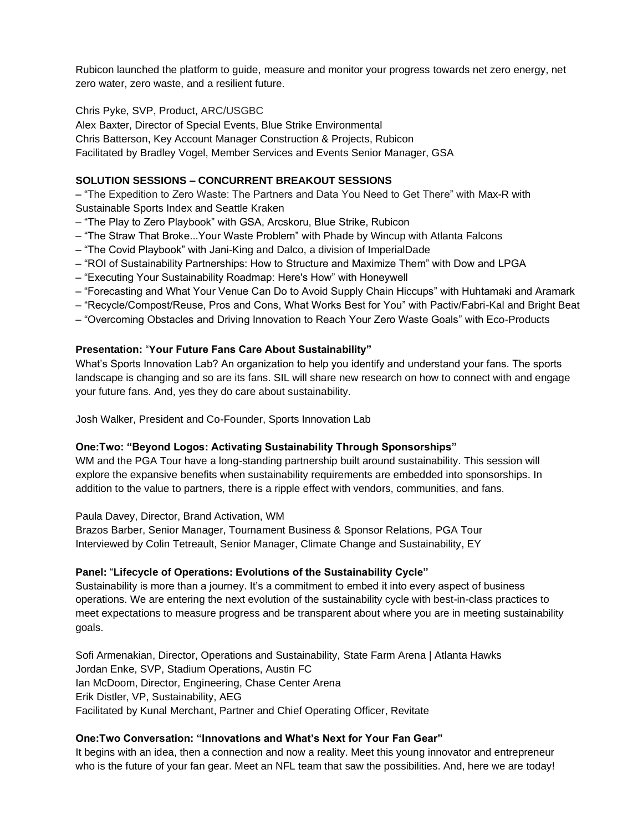Rubicon launched the platform to guide, measure and monitor your progress towards net zero energy, net zero water, zero waste, and a resilient future.

Chris Pyke, SVP, Product, ARC/USGBC

Alex Baxter, Director of Special Events, Blue Strike Environmental Chris Batterson, Key Account Manager Construction & Projects, Rubicon Facilitated by Bradley Vogel, Member Services and Events Senior Manager, GSA

## **SOLUTION SESSIONS – CONCURRENT BREAKOUT SESSIONS**

– "The Expedition to Zero Waste: The Partners and Data You Need to Get There" with Max-R with Sustainable Sports Index and Seattle Kraken

- "The Play to Zero Playbook" with GSA, Arcskoru, Blue Strike, Rubicon
- "The Straw That Broke...Your Waste Problem" with Phade by Wincup with Atlanta Falcons
- "The Covid Playbook" with Jani-King and Dalco, a division of ImperialDade
- "ROI of Sustainability Partnerships: How to Structure and Maximize Them" with Dow and LPGA
- "Executing Your Sustainability Roadmap: Here's How" with Honeywell
- "Forecasting and What Your Venue Can Do to Avoid Supply Chain Hiccups" with Huhtamaki and Aramark
- "Recycle/Compost/Reuse, Pros and Cons, What Works Best for You" with Pactiv/Fabri-Kal and Bright Beat
- "Overcoming Obstacles and Driving Innovation to Reach Your Zero Waste Goals" with Eco-Products

### **Presentation:** "**Your Future Fans Care About Sustainability"**

What's Sports Innovation Lab? An organization to help you identify and understand your fans. The sports landscape is changing and so are its fans. SIL will share new research on how to connect with and engage your future fans. And, yes they do care about sustainability.

Josh Walker, President and Co-Founder, Sports Innovation Lab

#### **One:Two: "Beyond Logos: Activating Sustainability Through Sponsorships"**

WM and the PGA Tour have a long-standing partnership built around sustainability. This session will explore the expansive benefits when sustainability requirements are embedded into sponsorships. In addition to the value to partners, there is a ripple effect with vendors, communities, and fans.

Paula Davey, Director, Brand Activation, WM

Brazos Barber, Senior Manager, Tournament Business & Sponsor Relations, PGA Tour Interviewed by Colin Tetreault, Senior Manager, Climate Change and Sustainability, EY

#### **Panel:** "**Lifecycle of Operations: Evolutions of the Sustainability Cycle"**

Sustainability is more than a journey. It's a commitment to embed it into every aspect of business operations. We are entering the next evolution of the sustainability cycle with best-in-class practices to meet expectations to measure progress and be transparent about where you are in meeting sustainability goals.

Sofi Armenakian, Director, Operations and Sustainability, State Farm Arena | Atlanta Hawks Jordan Enke, SVP, Stadium Operations, Austin FC Ian McDoom, Director, Engineering, Chase Center Arena Erik Distler, VP, Sustainability, AEG Facilitated by Kunal Merchant, Partner and Chief Operating Officer, Revitate

## **One:Two Conversation: "Innovations and What's Next for Your Fan Gear"**

It begins with an idea, then a connection and now a reality. Meet this young innovator and entrepreneur who is the future of your fan gear. Meet an NFL team that saw the possibilities. And, here we are today!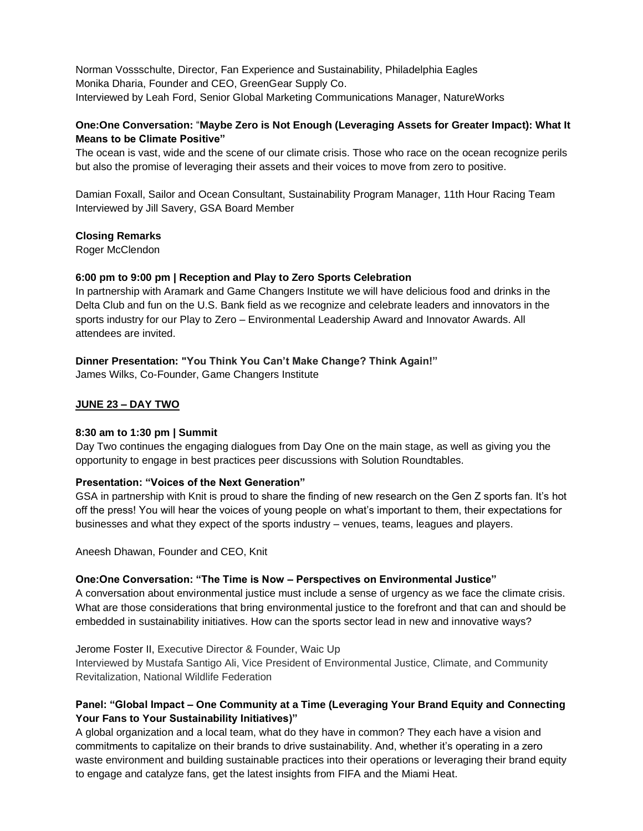Norman Vossschulte, Director, Fan Experience and Sustainability, Philadelphia Eagles Monika Dharia, Founder and CEO, GreenGear Supply Co. Interviewed by Leah Ford, Senior Global Marketing Communications Manager, NatureWorks

## **One:One Conversation:** "**Maybe Zero is Not Enough (Leveraging Assets for Greater Impact): What It Means to be Climate Positive"**

The ocean is vast, wide and the scene of our climate crisis. Those who race on the ocean recognize perils but also the promise of leveraging their assets and their voices to move from zero to positive.

Damian Foxall, Sailor and Ocean Consultant, Sustainability Program Manager, 11th Hour Racing Team Interviewed by Jill Savery, GSA Board Member

### **Closing Remarks**

Roger McClendon

### **6:00 pm to 9:00 pm | Reception and Play to Zero Sports Celebration**

In partnership with Aramark and Game Changers Institute we will have delicious food and drinks in the Delta Club and fun on the U.S. Bank field as we recognize and celebrate leaders and innovators in the sports industry for our Play to Zero – Environmental Leadership Award and Innovator Awards. All attendees are invited.

### **Dinner Presentation: "You Think You Can't Make Change? Think Again!"**

James Wilks, Co-Founder, Game Changers Institute

### **JUNE 23 – DAY TWO**

#### **8:30 am to 1:30 pm | Summit**

Day Two continues the engaging dialogues from Day One on the main stage, as well as giving you the opportunity to engage in best practices peer discussions with Solution Roundtables.

#### **Presentation: "Voices of the Next Generation"**

GSA in partnership with Knit is proud to share the finding of new research on the Gen Z sports fan. It's hot off the press! You will hear the voices of young people on what's important to them, their expectations for businesses and what they expect of the sports industry – venues, teams, leagues and players.

Aneesh Dhawan, Founder and CEO, Knit

#### **One:One Conversation: "The Time is Now – Perspectives on Environmental Justice"**

A conversation about environmental justice must include a sense of urgency as we face the climate crisis. What are those considerations that bring environmental justice to the forefront and that can and should be embedded in sustainability initiatives. How can the sports sector lead in new and innovative ways?

Jerome Foster II, Executive Director & Founder, Waic Up Interviewed by Mustafa Santigo Ali, Vice President of Environmental Justice, Climate, and Community Revitalization, National Wildlife Federation

# **Panel: "Global Impact – One Community at a Time (Leveraging Your Brand Equity and Connecting Your Fans to Your Sustainability Initiatives)"**

A global organization and a local team, what do they have in common? They each have a vision and commitments to capitalize on their brands to drive sustainability. And, whether it's operating in a zero waste environment and building sustainable practices into their operations or leveraging their brand equity to engage and catalyze fans, get the latest insights from FIFA and the Miami Heat.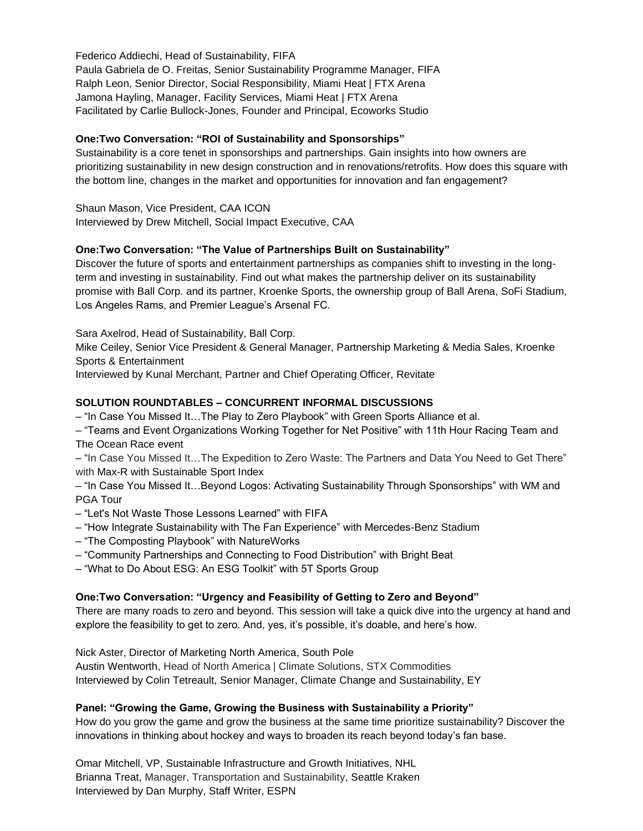Federico Addiechi, Head of Sustainability, FIFA Paula Gabriela de O. Freitas, Senior Sustainability Programme Manager, FIFA Ralph Leon, Senior Director, Social Responsibility, Miami Heat | FTX Arena Jamona Hayling, Manager, Facility Services, Miami Heat | FTX Arena Facilitated by Carlie Bullock-Jones, Founder and Principal, Ecoworks Studio

## **One:Two Conversation: "ROI of Sustainability and Sponsorships"**

Sustainability is a core tenet in sponsorships and partnerships. Gain insights into how owners are prioritizing sustainability in new design construction and in renovations/retrofits. How does this square with the bottom line, changes in the market and opportunities for innovation and fan engagement?

Shaun Mason, Vice President, CAA ICON Interviewed by Drew Mitchell, Social Impact Executive, CAA

# **One:Two Conversation: "The Value of Partnerships Built on Sustainability"**

Discover the future of sports and entertainment partnerships as companies shift to investing in the longterm and investing in sustainability. Find out what makes the partnership deliver on its sustainability promise with Ball Corp. and its partner, Kroenke Sports, the ownership group of Ball Arena, SoFi Stadium, Los Angeles Rams, and Premier League's Arsenal FC.

Sara Axelrod, Head of Sustainability, Ball Corp.

Mike Ceiley, Senior Vice President & General Manager, Partnership Marketing & Media Sales, Kroenke Sports & Entertainment

Interviewed by Kunal Merchant, Partner and Chief Operating Officer, Revitate

## **SOLUTION ROUNDTABLES – CONCURRENT INFORMAL DISCUSSIONS**

– "In Case You Missed It…The Play to Zero Playbook" with Green Sports Alliance et al.

– "Teams and Event Organizations Working Together for Net Positive" with 11th Hour Racing Team and The Ocean Race event

– "In Case You Missed It…The Expedition to Zero Waste: The Partners and Data You Need to Get There" with Max-R with Sustainable Sport Index

– "In Case You Missed It…Beyond Logos: Activating Sustainability Through Sponsorships" with WM and PGA Tour

- "Let's Not Waste Those Lessons Learned" with FIFA
- "How Integrate Sustainability with The Fan Experience" with Mercedes-Benz Stadium
- "The Composting Playbook" with NatureWorks
- "Community Partnerships and Connecting to Food Distribution" with Bright Beat
- "What to Do About ESG: An ESG Toolkit" with 5T Sports Group

## **One:Two Conversation: "Urgency and Feasibility of Getting to Zero and Beyond"**

There are many roads to zero and beyond. This session will take a quick dive into the urgency at hand and explore the feasibility to get to zero. And, yes, it's possible, it's doable, and here's how.

Nick Aster, Director of Marketing North America, South Pole

Austin Wentworth, Head of North America | Climate Solutions, STX Commodities

Interviewed by Colin Tetreault, Senior Manager, Climate Change and Sustainability, EY

## **Panel: "Growing the Game, Growing the Business with Sustainability a Priority"**

How do you grow the game and grow the business at the same time prioritize sustainability? Discover the innovations in thinking about hockey and ways to broaden its reach beyond today's fan base.

Omar Mitchell, VP, Sustainable Infrastructure and Growth Initiatives, NHL Brianna Treat, Manager, Transportation and Sustainability, Seattle Kraken Interviewed by Dan Murphy, Staff Writer, ESPN